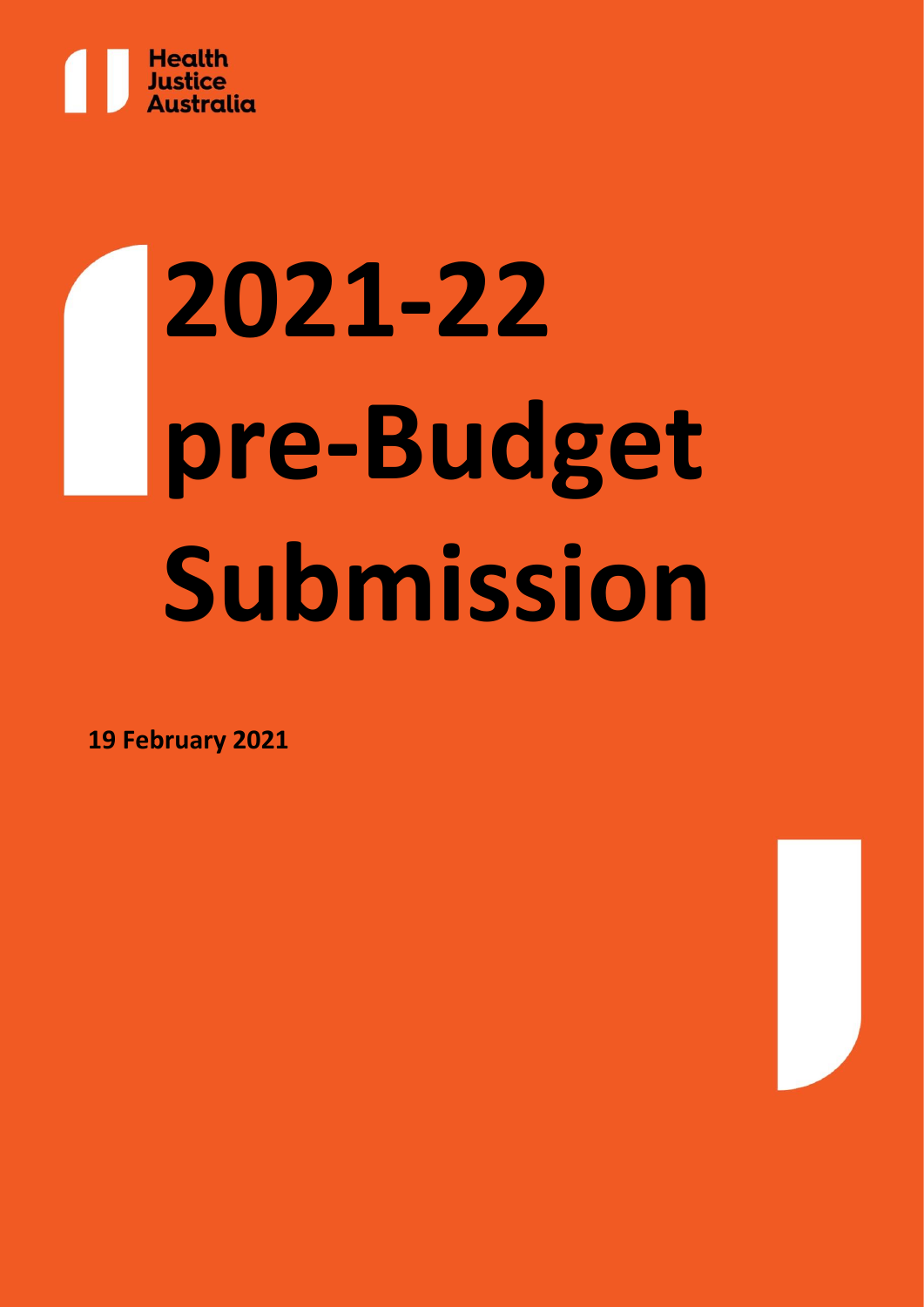

# **2021-22 pre-Budget Submission**

**19 February 2021**

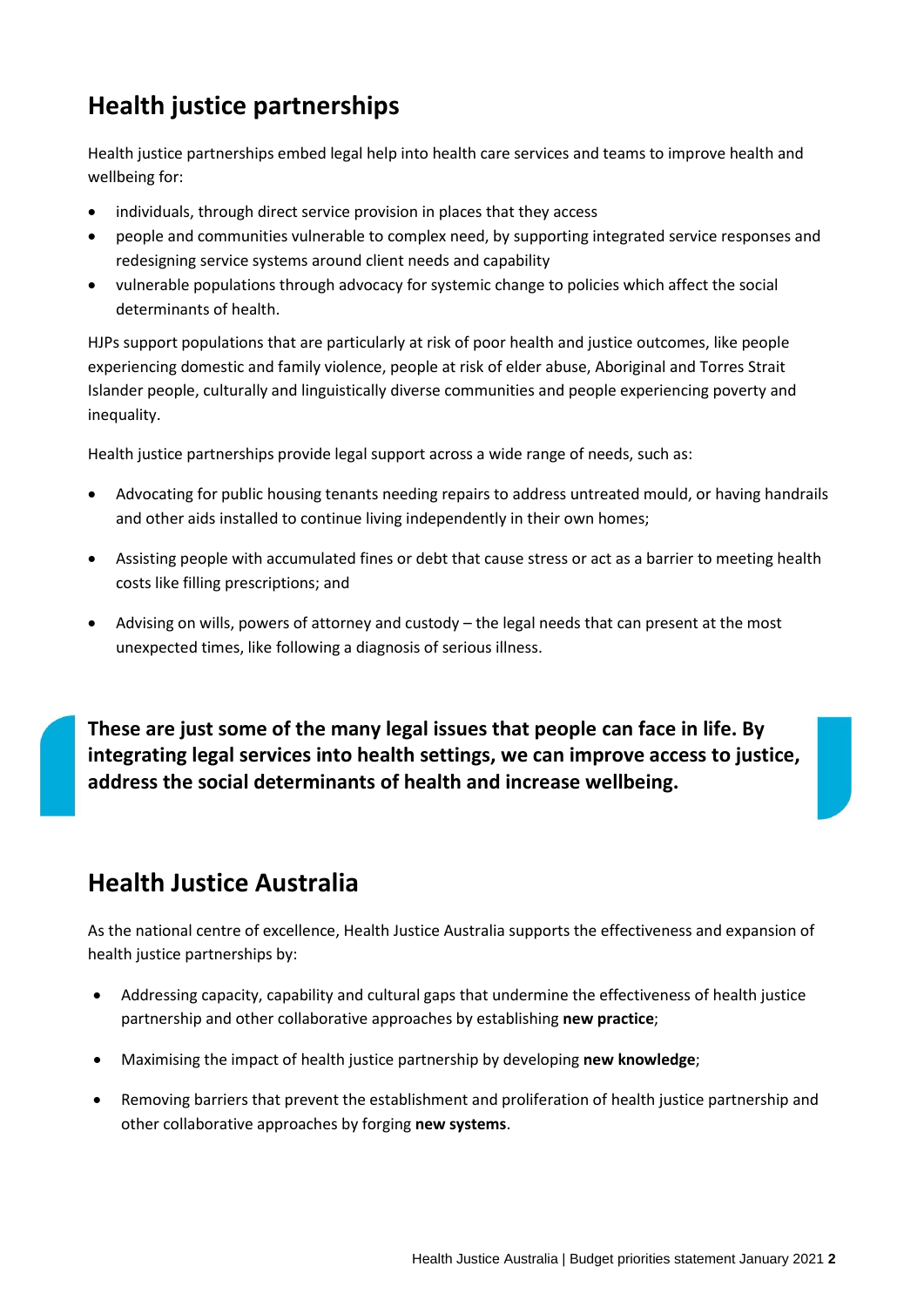# **Health justice partnerships**

Health justice partnerships embed legal help into health care services and teams to improve health and wellbeing for:

- individuals, through direct service provision in places that they access
- people and communities vulnerable to complex need, by supporting integrated service responses and redesigning service systems around client needs and capability
- vulnerable populations through advocacy for systemic change to policies which affect the social determinants of health.

HJPs support populations that are particularly at risk of poor health and justice outcomes, like people experiencing domestic and family violence, people at risk of elder abuse, Aboriginal and Torres Strait Islander people, culturally and linguistically diverse communities and people experiencing poverty and inequality.

Health justice partnerships provide legal support across a wide range of needs, such as:

- Advocating for public housing tenants needing repairs to address untreated mould, or having handrails and other aids installed to continue living independently in their own homes;
- Assisting people with accumulated fines or debt that cause stress or act as a barrier to meeting health costs like filling prescriptions; and
- Advising on wills, powers of attorney and custody the legal needs that can present at the most unexpected times, like following a diagnosis of serious illness.

**These are just some of the many legal issues that people can face in life. By integrating legal services into health settings, we can improve access to justice, address the social determinants of health and increase wellbeing.**

## **Health Justice Australia**

As the national centre of excellence, Health Justice Australia supports the effectiveness and expansion of health justice partnerships by:

- Addressing capacity, capability and cultural gaps that undermine the effectiveness of health justice partnership and other collaborative approaches by establishing **new practice**;
- Maximising the impact of health justice partnership by developing **new knowledge**;
- Removing barriers that prevent the establishment and proliferation of health justice partnership and other collaborative approaches by forging **new systems**.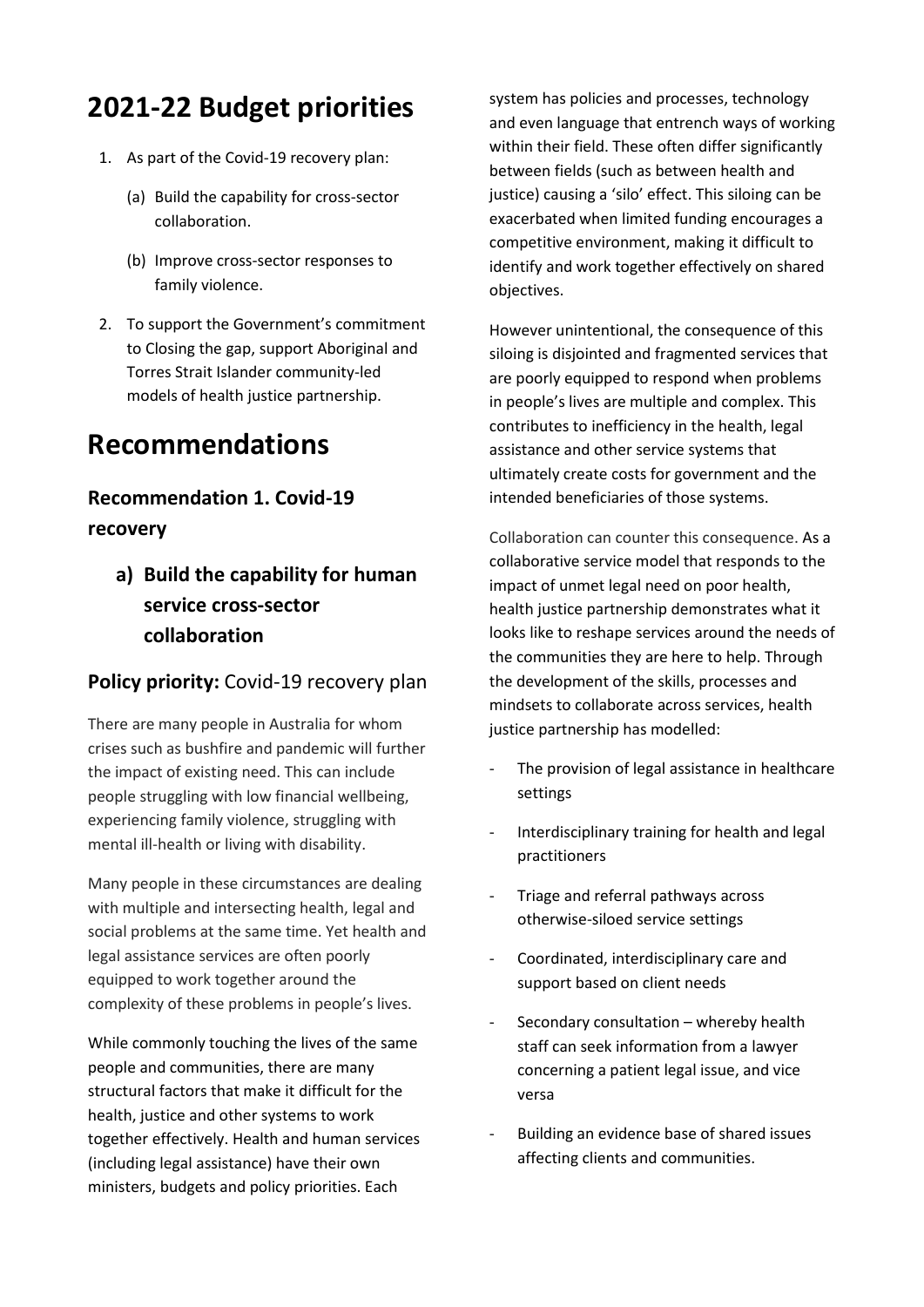# **2021-22 Budget priorities**

- 1. As part of the Covid-19 recovery plan:
	- (a) Build the capability for cross-sector collaboration.
	- (b) Improve cross-sector responses to family violence.
- 2. To support the Government's commitment to Closing the gap, support Aboriginal and Torres Strait Islander community-led models of health justice partnership.

## **Recommendations**

## **Recommendation 1. Covid-19 recovery**

**a) Build the capability for human service cross-sector collaboration** 

## **Policy priority:** Covid-19 recovery plan

There are many people in Australia for whom crises such as bushfire and pandemic will further the impact of existing need. This can include people struggling with low financial wellbeing, experiencing family violence, struggling with mental ill-health or living with disability.

Many people in these circumstances are dealing with multiple and intersecting health, legal and social problems at the same time. Yet health and legal assistance services are often poorly equipped to work together around the complexity of these problems in people's lives.

While commonly touching the lives of the same people and communities, there are many structural factors that make it difficult for the health, justice and other systems to work together effectively. Health and human services (including legal assistance) have their own ministers, budgets and policy priorities. Each

system has policies and processes, technology and even language that entrench ways of working within their field. These often differ significantly between fields (such as between health and justice) causing a 'silo' effect. This siloing can be exacerbated when limited funding encourages a competitive environment, making it difficult to identify and work together effectively on shared objectives.

However unintentional, the consequence of this siloing is disjointed and fragmented services that are poorly equipped to respond when problems in people's lives are multiple and complex. This contributes to inefficiency in the health, legal assistance and other service systems that ultimately create costs for government and the intended beneficiaries of those systems.

Collaboration can counter this consequence. As a collaborative service model that responds to the impact of unmet legal need on poor health, health justice partnership demonstrates what it looks like to reshape services around the needs of the communities they are here to help. Through the development of the skills, processes and mindsets to collaborate across services, health justice partnership has modelled:

- The provision of legal assistance in healthcare settings
- Interdisciplinary training for health and legal practitioners
- Triage and referral pathways across otherwise-siloed service settings
- Coordinated, interdisciplinary care and support based on client needs
- Secondary consultation whereby health staff can seek information from a lawyer concerning a patient legal issue, and vice versa
- Building an evidence base of shared issues affecting clients and communities.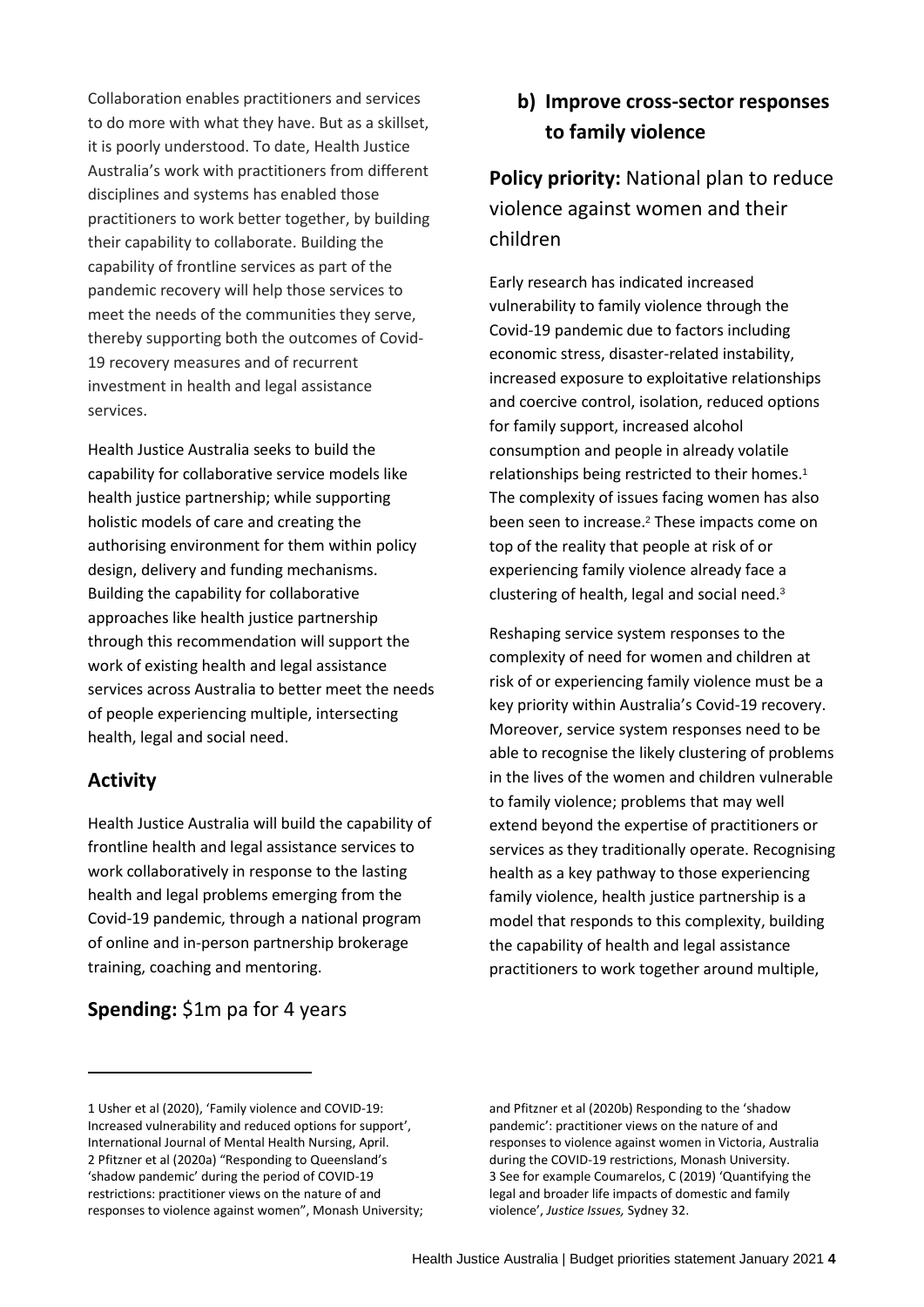Collaboration enables practitioners and services to do more with what they have. But as a skillset, it is poorly understood. To date, Health Justice Australia's work with practitioners from different disciplines and systems has enabled those practitioners to work better together, by building their capability to collaborate. Building the capability of frontline services as part of the pandemic recovery will help those services to meet the needs of the communities they serve, thereby supporting both the outcomes of Covid-19 recovery measures and of recurrent investment in health and legal assistance services.

Health Justice Australia seeks to build the capability for collaborative service models like health justice partnership; while supporting holistic models of care and creating the authorising environment for them within policy design, delivery and funding mechanisms. Building the capability for collaborative approaches like health justice partnership through this recommendation will support the work of existing health and legal assistance services across Australia to better meet the needs of people experiencing multiple, intersecting health, legal and social need.

#### **Activity**

Health Justice Australia will build the capability of frontline health and legal assistance services to work collaboratively in response to the lasting health and legal problems emerging from the Covid-19 pandemic, through a national program of online and in-person partnership brokerage training, coaching and mentoring.

#### **Spending:** \$1m pa for 4 years

## **b) Improve cross-sector responses to family violence**

**Policy priority:** National plan to reduce violence against women and their children

Early research has indicated increased vulnerability to family violence through the Covid-19 pandemic due to factors including economic stress, disaster-related instability, increased exposure to exploitative relationships and coercive control, isolation, reduced options for family support, increased alcohol consumption and people in already volatile relationships being restricted to their homes. 1 The complexity of issues facing women has also been seen to increase.<sup>2</sup> These impacts come on top of the reality that people at risk of or experiencing family violence already face a clustering of health, legal and social need.<sup>3</sup>

Reshaping service system responses to the complexity of need for women and children at risk of or experiencing family violence must be a key priority within Australia's Covid-19 recovery. Moreover, service system responses need to be able to recognise the likely clustering of problems in the lives of the women and children vulnerable to family violence; problems that may well extend beyond the expertise of practitioners or services as they traditionally operate. Recognising health as a key pathway to those experiencing family violence, health justice partnership is a model that responds to this complexity, building the capability of health and legal assistance practitioners to work together around multiple,

and Pfitzner et al (2020b) Responding to the 'shadow pandemic': practitioner views on the nature of and responses to violence against women in Victoria, Australia during the COVID-19 restrictions, Monash University. 3 See for example Coumarelos, C (2019) 'Quantifying the legal and broader life impacts of domestic and family violence', *Justice Issues,* Sydney 32.

<sup>1</sup> Usher et al (2020), 'Family violence and COVID-19: Increased vulnerability and reduced options for support', International Journal of Mental Health Nursing, April. 2 Pfitzner et al (2020a) "Responding to Queensland's 'shadow pandemic' during the period of COVID-19 restrictions: practitioner views on the nature of and responses to violence against women", Monash University;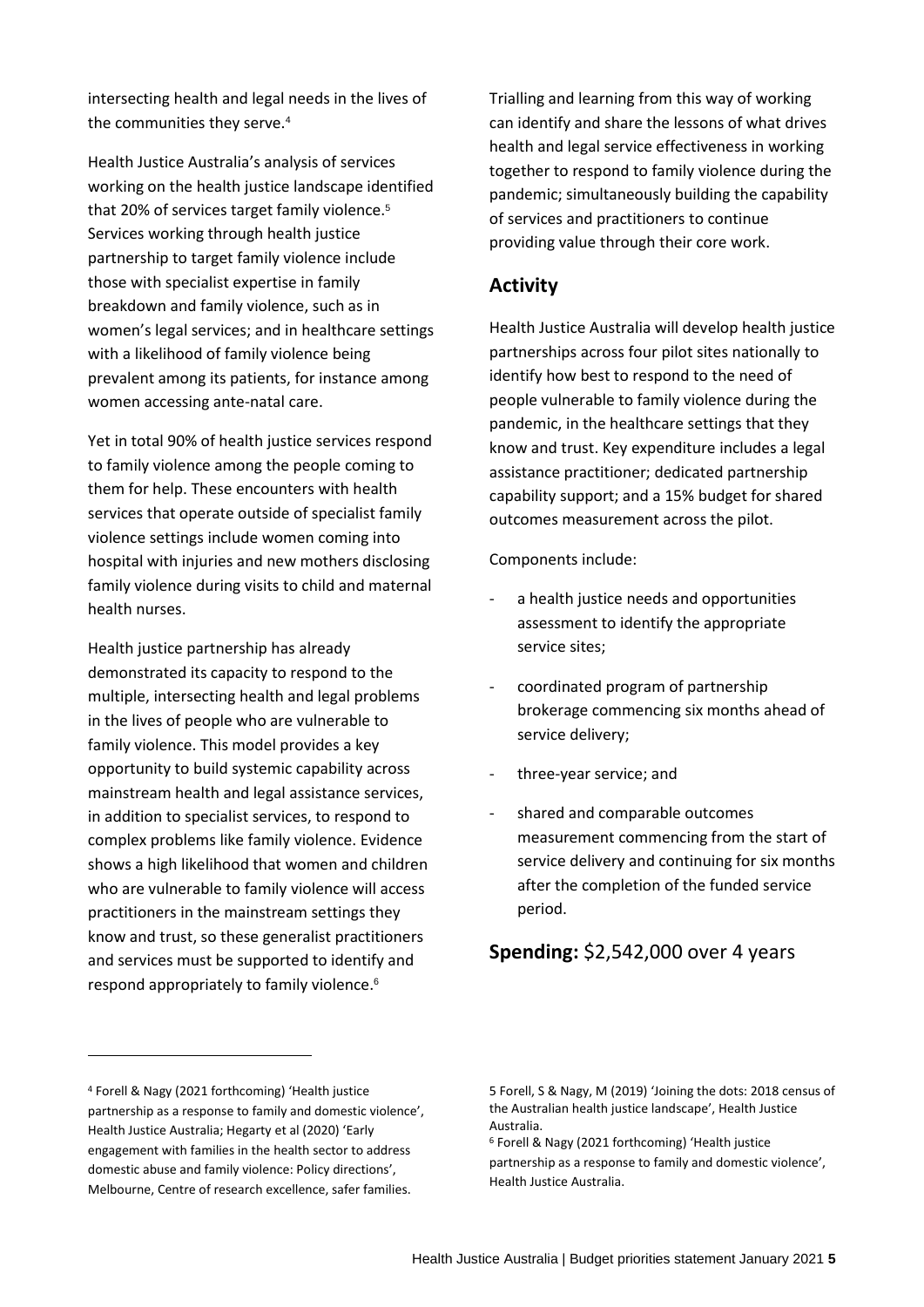intersecting health and legal needs in the lives of the communities they serve.<sup>4</sup>

Health Justice Australia's analysis of services working on the health justice landscape identified that 20% of services target family violence.<sup>5</sup> Services working through health justice partnership to target family violence include those with specialist expertise in family breakdown and family violence, such as in women's legal services; and in healthcare settings with a likelihood of family violence being prevalent among its patients, for instance among women accessing ante-natal care.

Yet in total 90% of health justice services respond to family violence among the people coming to them for help. These encounters with health services that operate outside of specialist family violence settings include women coming into hospital with injuries and new mothers disclosing family violence during visits to child and maternal health nurses.

Health justice partnership has already demonstrated its capacity to respond to the multiple, intersecting health and legal problems in the lives of people who are vulnerable to family violence. This model provides a key opportunity to build systemic capability across mainstream health and legal assistance services, in addition to specialist services, to respond to complex problems like family violence. Evidence shows a high likelihood that women and children who are vulnerable to family violence will access practitioners in the mainstream settings they know and trust, so these generalist practitioners and services must be supported to identify and respond appropriately to family violence. 6

Trialling and learning from this way of working can identify and share the lessons of what drives health and legal service effectiveness in working together to respond to family violence during the pandemic; simultaneously building the capability of services and practitioners to continue providing value through their core work.

#### **Activity**

Health Justice Australia will develop health justice partnerships across four pilot sites nationally to identify how best to respond to the need of people vulnerable to family violence during the pandemic, in the healthcare settings that they know and trust. Key expenditure includes a legal assistance practitioner; dedicated partnership capability support; and a 15% budget for shared outcomes measurement across the pilot.

Components include:

- a health justice needs and opportunities assessment to identify the appropriate service sites;
- coordinated program of partnership brokerage commencing six months ahead of service delivery;
- three-year service; and
- shared and comparable outcomes measurement commencing from the start of service delivery and continuing for six months after the completion of the funded service period.

### **Spending:** \$2,542,000 over 4 years

<sup>4</sup> Forell & Nagy (2021 forthcoming) 'Health justice partnership as a response to family and domestic violence', Health Justice Australia; Hegarty et al (2020) 'Early engagement with families in the health sector to address domestic abuse and family violence: Policy directions', Melbourne, Centre of research excellence, safer families.

<sup>5</sup> Forell, S & Nagy, M (2019) 'Joining the dots: 2018 census of the Australian health justice landscape', Health Justice Australia.

<sup>6</sup> Forell & Nagy (2021 forthcoming) 'Health justice

partnership as a response to family and domestic violence', Health Justice Australia.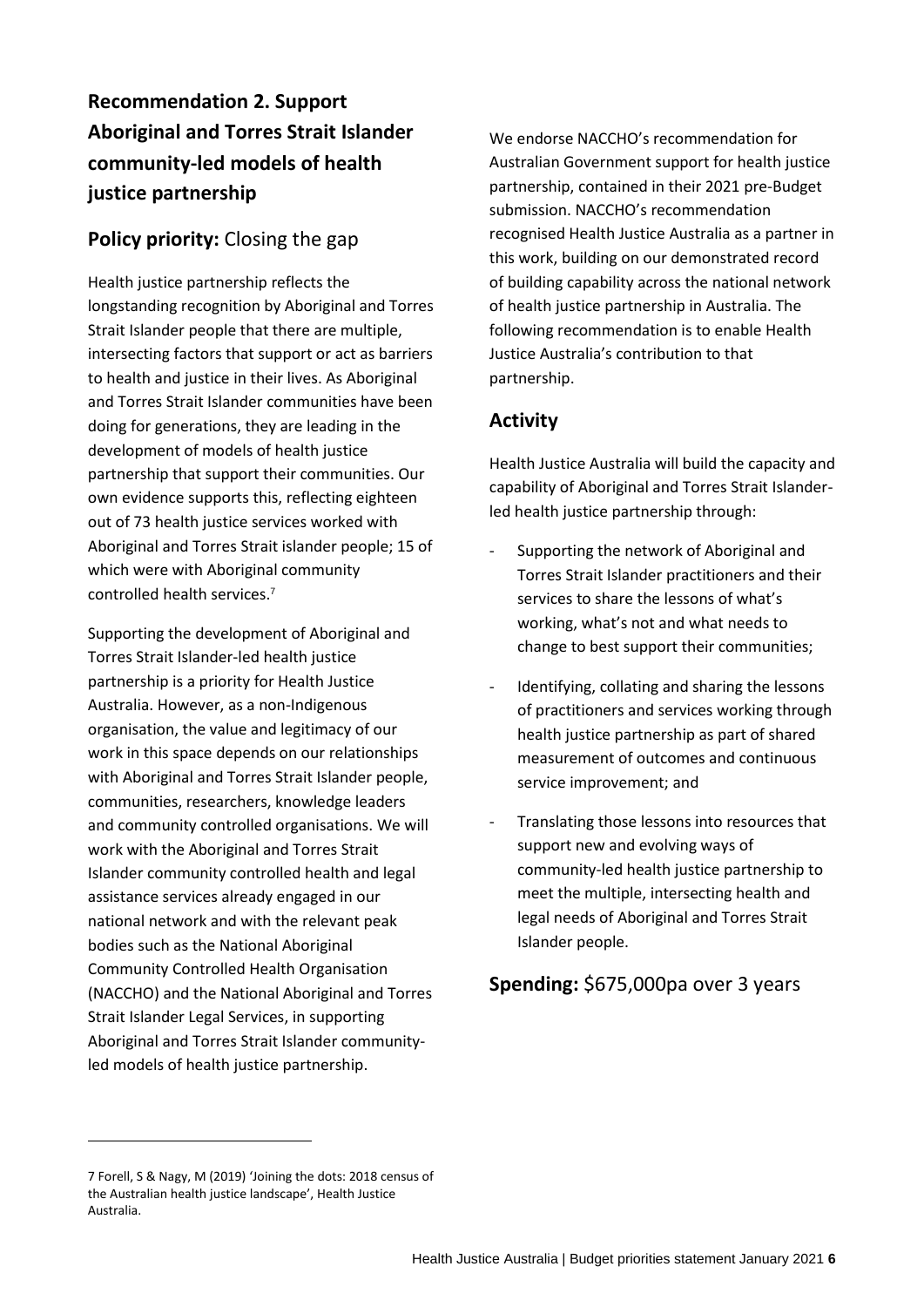## **Recommendation 2. Support Aboriginal and Torres Strait Islander community-led models of health justice partnership**

## **Policy priority:** Closing the gap

Health justice partnership reflects the longstanding recognition by Aboriginal and Torres Strait Islander people that there are multiple, intersecting factors that support or act as barriers to health and justice in their lives. As Aboriginal and Torres Strait Islander communities have been doing for generations, they are leading in the development of models of health justice partnership that support their communities. Our own evidence supports this, reflecting eighteen out of 73 health justice services worked with Aboriginal and Torres Strait islander people; 15 of which were with Aboriginal community controlled health services.<sup>7</sup>

Supporting the development of Aboriginal and Torres Strait Islander-led health justice partnership is a priority for Health Justice Australia. However, as a non-Indigenous organisation, the value and legitimacy of our work in this space depends on our relationships with Aboriginal and Torres Strait Islander people, communities, researchers, knowledge leaders and community controlled organisations. We will work with the Aboriginal and Torres Strait Islander community controlled health and legal assistance services already engaged in our national network and with the relevant peak bodies such as the National Aboriginal Community Controlled Health Organisation (NACCHO) and the National Aboriginal and Torres Strait Islander Legal Services, in supporting Aboriginal and Torres Strait Islander communityled models of health justice partnership.

We endorse NACCHO's recommendation for Australian Government support for health justice partnership, contained in their 2021 pre-Budget submission. NACCHO's recommendation recognised Health Justice Australia as a partner in this work, building on our demonstrated record of building capability across the national network of health justice partnership in Australia. The following recommendation is to enable Health Justice Australia's contribution to that partnership.

## **Activity**

Health Justice Australia will build the capacity and capability of Aboriginal and Torres Strait Islanderled health justice partnership through:

- Supporting the network of Aboriginal and Torres Strait Islander practitioners and their services to share the lessons of what's working, what's not and what needs to change to best support their communities;
- Identifying, collating and sharing the lessons of practitioners and services working through health justice partnership as part of shared measurement of outcomes and continuous service improvement; and
- Translating those lessons into resources that support new and evolving ways of community-led health justice partnership to meet the multiple, intersecting health and legal needs of Aboriginal and Torres Strait Islander people.

## **Spending:** \$675,000pa over 3 years

<sup>7</sup> Forell, S & Nagy, M (2019) 'Joining the dots: 2018 census of the Australian health justice landscape', Health Justice Australia.